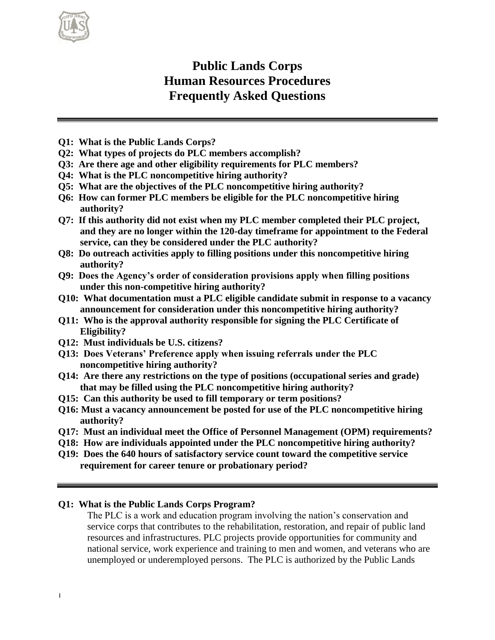

# **Public Lands Corps Human Resources Procedures Frequently Asked Questions**

- **Q1: What is the Public Lands Corps?**
- **Q2: What types of projects do PLC members accomplish?**
- **Q3: Are there age and other eligibility requirements for PLC members?**
- **Q4: What is the PLC noncompetitive hiring authority?**
- **Q5: What are the objectives of the PLC noncompetitive hiring authority?**
- **Q6: How can former PLC members be eligible for the PLC noncompetitive hiring authority?**
- **Q7: If this authority did not exist when my PLC member completed their PLC project, and they are no longer within the 120-day timeframe for appointment to the Federal service, can they be considered under the PLC authority?**
- **Q8: Do outreach activities apply to filling positions under this noncompetitive hiring authority?**
- **Q9: Does the Agency's order of consideration provisions apply when filling positions under this non-competitive hiring authority?**
- **Q10: What documentation must a PLC eligible candidate submit in response to a vacancy announcement for consideration under this noncompetitive hiring authority?**
- **Q11: Who is the approval authority responsible for signing the PLC Certificate of Eligibility?**
- **Q12: Must individuals be U.S. citizens?**
- **Q13: Does Veterans' Preference apply when issuing referrals under the PLC noncompetitive hiring authority?**
- **Q14: Are there any restrictions on the type of positions (occupational series and grade) that may be filled using the PLC noncompetitive hiring authority?**
- **Q15: Can this authority be used to fill temporary or term positions?**
- **Q16: Must a vacancy announcement be posted for use of the PLC noncompetitive hiring authority?**
- **Q17: Must an individual meet the Office of Personnel Management (OPM) requirements?**
- **Q18: How are individuals appointed under the PLC noncompetitive hiring authority?**
- **Q19: Does the 640 hours of satisfactory service count toward the competitive service requirement for career tenure or probationary period?**

## **Q1: What is the Public Lands Corps Program?**

The PLC is a work and education program involving the nation's conservation and service corps that contributes to the rehabilitation, restoration, and repair of public land resources and infrastructures. PLC projects provide opportunities for community and national service, work experience and training to men and women, and veterans who are unemployed or underemployed persons. The PLC is authorized by the Public Lands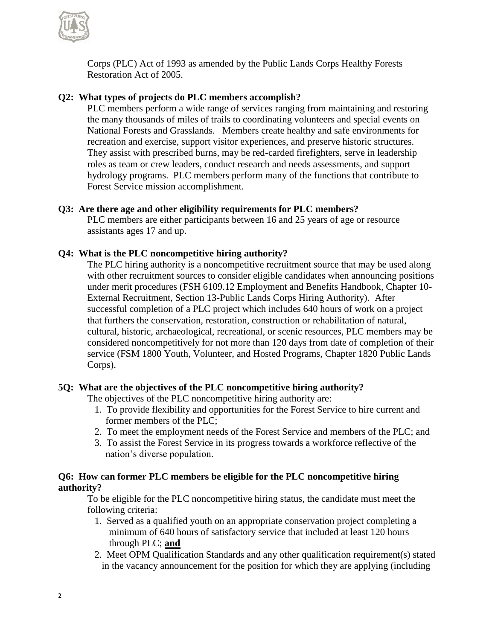

Corps (PLC) Act of 1993 as amended by the Public Lands Corps Healthy Forests Restoration Act of 2005.

# **Q2: What types of projects do PLC members accomplish?**

PLC members perform a wide range of services ranging from maintaining and restoring the many thousands of miles of trails to coordinating volunteers and special events on National Forests and Grasslands. Members create healthy and safe environments for recreation and exercise, support visitor experiences, and preserve historic structures. They assist with prescribed burns, may be red-carded firefighters, serve in leadership roles as team or crew leaders, conduct research and needs assessments, and support hydrology programs. PLC members perform many of the functions that contribute to Forest Service mission accomplishment.

## **Q3: Are there age and other eligibility requirements for PLC members?**

PLC members are either participants between 16 and 25 years of age or resource assistants ages 17 and up.

## **Q4: What is the PLC noncompetitive hiring authority?**

The PLC hiring authority is a noncompetitive recruitment source that may be used along with other recruitment sources to consider eligible candidates when announcing positions under merit procedures (FSH 6109.12 Employment and Benefits Handbook, Chapter 10- External Recruitment, Section 13-Public Lands Corps Hiring Authority).After successful completion of a PLC project which includes 640 hours of work on a project that furthers the conservation, restoration, construction or rehabilitation of natural, cultural, historic, archaeological, recreational, or scenic resources, PLC members may be considered noncompetitively for not more than 120 days from date of completion of their service (FSM 1800 Youth, Volunteer, and Hosted Programs, Chapter 1820 Public Lands Corps).

## **5Q: What are the objectives of the PLC noncompetitive hiring authority?**

The objectives of the PLC noncompetitive hiring authority are:

- 1. To provide flexibility and opportunities for the Forest Service to hire current and former members of the PLC;
- 2. To meet the employment needs of the Forest Service and members of the PLC; and
- 3. To assist the Forest Service in its progress towards a workforce reflective of the nation's diverse population.

## **Q6: How can former PLC members be eligible for the PLC noncompetitive hiring authority?**

To be eligible for the PLC noncompetitive hiring status, the candidate must meet the following criteria:

- 1. Served as a qualified youth on an appropriate conservation project completing a minimum of 640 hours of satisfactory service that included at least 120 hours through PLC; **and**
- 2. Meet OPM Qualification Standards and any other qualification requirement(s) stated in the vacancy announcement for the position for which they are applying (including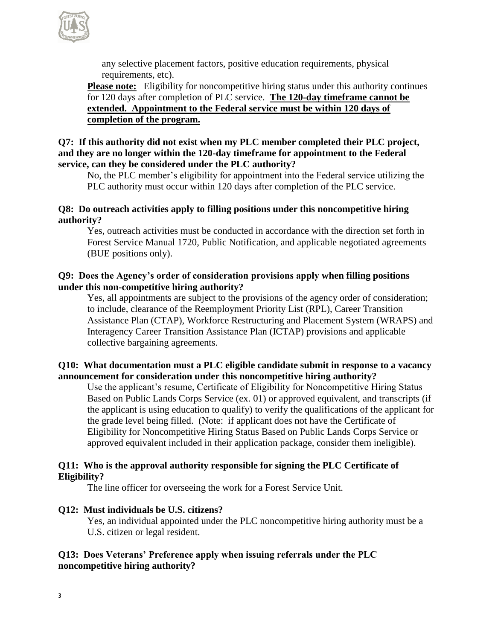

any selective placement factors, positive education requirements, physical requirements, etc).

**Please note:** Eligibility for noncompetitive hiring status under this authority continues for 120 days after completion of PLC service. **The 120-day timeframe cannot be extended. Appointment to the Federal service must be within 120 days of completion of the program.**

## **Q7: If this authority did not exist when my PLC member completed their PLC project, and they are no longer within the 120-day timeframe for appointment to the Federal service, can they be considered under the PLC authority?**

No, the PLC member's eligibility for appointment into the Federal service utilizing the PLC authority must occur within 120 days after completion of the PLC service.

## **Q8: Do outreach activities apply to filling positions under this noncompetitive hiring authority?**

Yes, outreach activities must be conducted in accordance with the direction set forth in Forest Service Manual 1720, Public Notification, and applicable negotiated agreements (BUE positions only).

# **Q9: Does the Agency's order of consideration provisions apply when filling positions under this non-competitive hiring authority?**

Yes, all appointments are subject to the provisions of the agency order of consideration; to include, clearance of the Reemployment Priority List (RPL), Career Transition Assistance Plan (CTAP), Workforce Restructuring and Placement System (WRAPS) and Interagency Career Transition Assistance Plan (ICTAP) provisions and applicable collective bargaining agreements.

## **Q10: What documentation must a PLC eligible candidate submit in response to a vacancy announcement for consideration under this noncompetitive hiring authority?**

Use the applicant's resume, Certificate of Eligibility for Noncompetitive Hiring Status Based on Public Lands Corps Service (ex. 01) or approved equivalent, and transcripts (if the applicant is using education to qualify) to verify the qualifications of the applicant for the grade level being filled. (Note: if applicant does not have the Certificate of Eligibility for Noncompetitive Hiring Status Based on Public Lands Corps Service or approved equivalent included in their application package, consider them ineligible).

## **Q11: Who is the approval authority responsible for signing the PLC Certificate of Eligibility?**

The line officer for overseeing the work for a Forest Service Unit.

# **Q12: Must individuals be U.S. citizens?**

Yes, an individual appointed under the PLC noncompetitive hiring authority must be a U.S. citizen or legal resident.

# **Q13: Does Veterans' Preference apply when issuing referrals under the PLC noncompetitive hiring authority?**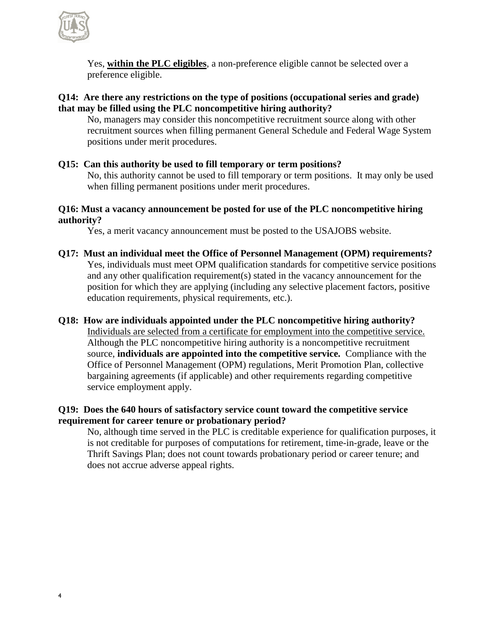

Yes, **within the PLC eligibles**, a non-preference eligible cannot be selected over a preference eligible.

## **Q14: Are there any restrictions on the type of positions (occupational series and grade) that may be filled using the PLC noncompetitive hiring authority?**

No, managers may consider this noncompetitive recruitment source along with other recruitment sources when filling permanent General Schedule and Federal Wage System positions under merit procedures.

# **Q15: Can this authority be used to fill temporary or term positions?**

No, this authority cannot be used to fill temporary or term positions. It may only be used when filling permanent positions under merit procedures.

## **Q16: Must a vacancy announcement be posted for use of the PLC noncompetitive hiring authority?**

Yes, a merit vacancy announcement must be posted to the USAJOBS website.

**Q17: Must an individual meet the Office of Personnel Management (OPM) requirements?** Yes, individuals must meet OPM qualification standards for competitive service positions and any other qualification requirement(s) stated in the vacancy announcement for the position for which they are applying (including any selective placement factors, positive education requirements, physical requirements, etc.).

## **Q18: How are individuals appointed under the PLC noncompetitive hiring authority?**

Individuals are selected from a certificate for employment into the competitive service. Although the PLC noncompetitive hiring authority is a noncompetitive recruitment source, **individuals are appointed into the competitive service.** Compliance with the Office of Personnel Management (OPM) regulations, Merit Promotion Plan, collective bargaining agreements (if applicable) and other requirements regarding competitive service employment apply.

## **Q19: Does the 640 hours of satisfactory service count toward the competitive service requirement for career tenure or probationary period?**

No, although time served in the PLC is creditable experience for qualification purposes, it is not creditable for purposes of computations for retirement, time-in-grade, leave or the Thrift Savings Plan; does not count towards probationary period or career tenure; and does not accrue adverse appeal rights.